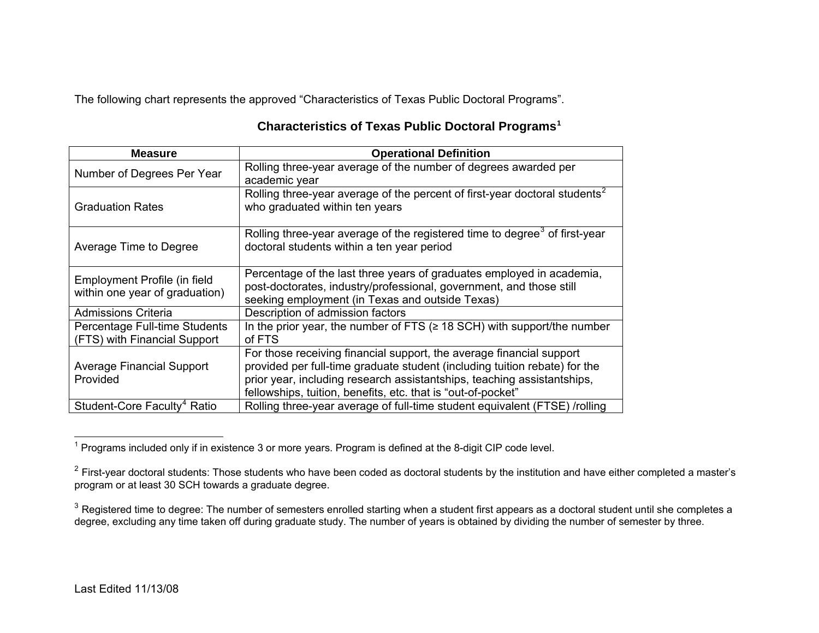The following chart represents the approved "Characteristics of Texas Public Doctoral Programs".

| <b>Measure</b>                                                 | <b>Operational Definition</b>                                                                                                                                                                                                                                                                 |
|----------------------------------------------------------------|-----------------------------------------------------------------------------------------------------------------------------------------------------------------------------------------------------------------------------------------------------------------------------------------------|
| Number of Degrees Per Year                                     | Rolling three-year average of the number of degrees awarded per<br>academic year                                                                                                                                                                                                              |
| <b>Graduation Rates</b>                                        | Rolling three-year average of the percent of first-year doctoral students <sup>2</sup><br>who graduated within ten years                                                                                                                                                                      |
| Average Time to Degree                                         | Rolling three-year average of the registered time to degree <sup>3</sup> of first-year<br>doctoral students within a ten year period                                                                                                                                                          |
| Employment Profile (in field<br>within one year of graduation) | Percentage of the last three years of graduates employed in academia,<br>post-doctorates, industry/professional, government, and those still<br>seeking employment (in Texas and outside Texas)                                                                                               |
| <b>Admissions Criteria</b>                                     | Description of admission factors                                                                                                                                                                                                                                                              |
| Percentage Full-time Students<br>(FTS) with Financial Support  | In the prior year, the number of FTS ( $\geq$ 18 SCH) with support/the number<br>of FTS                                                                                                                                                                                                       |
| <b>Average Financial Support</b><br>Provided                   | For those receiving financial support, the average financial support<br>provided per full-time graduate student (including tuition rebate) for the<br>prior year, including research assistantships, teaching assistantships,<br>fellowships, tuition, benefits, etc. that is "out-of-pocket" |
| Student-Core Faculty <sup>4</sup> Ratio                        | Rolling three-year average of full-time student equivalent (FTSE) /rolling                                                                                                                                                                                                                    |

## **Characteristics of Texas Public Doctoral Programs[1](#page-0-0)**

<span id="page-0-0"></span> $1$  Programs included only if in existence 3 or more years. Program is defined at the 8-digit CIP code level.

<span id="page-0-1"></span> $^2$  First-year doctoral students: Those students who have been coded as doctoral students by the institution and have either completed a master's program or at least 30 SCH towards a graduate degree.

<span id="page-0-3"></span><span id="page-0-2"></span> $^3$  Registered time to degree: The number of semesters enrolled starting when a student first appears as a doctoral student until she completes a degree, excluding any time taken off during graduate study. The number of years is obtained by dividing the number of semester by three.